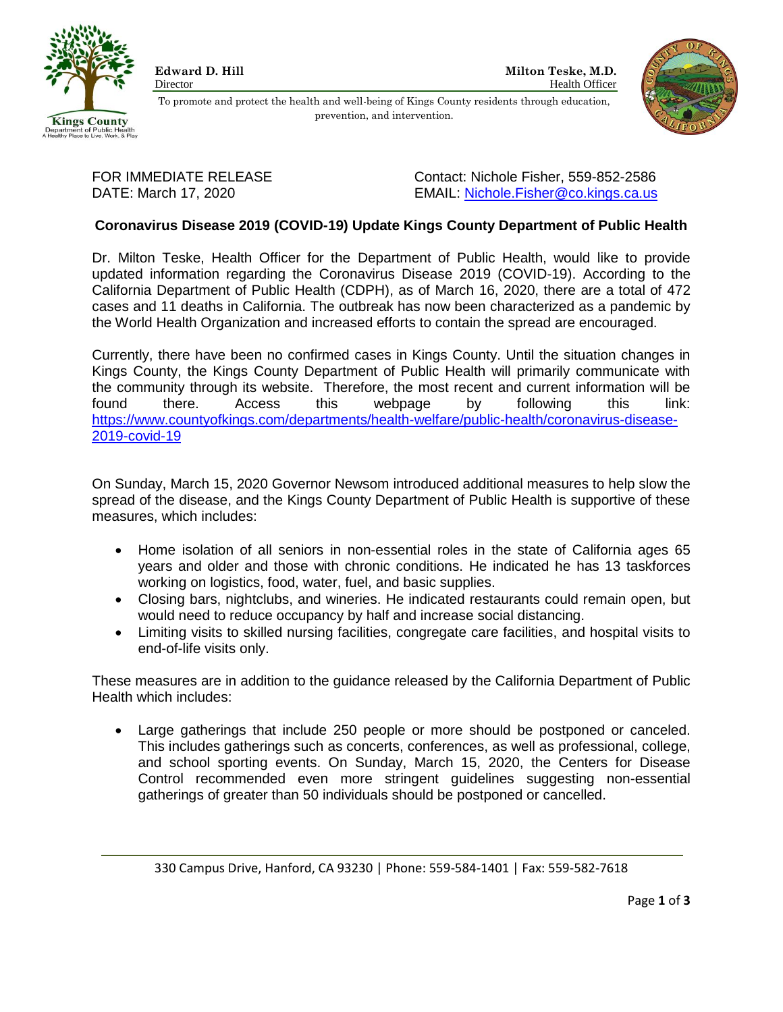



To promote and protect the health and well-being of Kings County residents through education, prevention, and intervention.

FOR IMMEDIATE RELEASE Contact: Nichole Fisher, 559-852-2586 DATE: March 17, 2020 EMAIL: [Nichole.Fisher@co.kings.ca.us](mailto:Nichole.Fisher@co.kings.ca.us)

# **Coronavirus Disease 2019 (COVID-19) Update Kings County Department of Public Health**

Dr. Milton Teske, Health Officer for the Department of Public Health, would like to provide updated information regarding the Coronavirus Disease 2019 (COVID-19). According to the California Department of Public Health (CDPH), as of March 16, 2020, there are a total of 472 cases and 11 deaths in California. The outbreak has now been characterized as a pandemic by the World Health Organization and increased efforts to contain the spread are encouraged.

Currently, there have been no confirmed cases in Kings County. Until the situation changes in Kings County, the Kings County Department of Public Health will primarily communicate with the community through its website. Therefore, the most recent and current information will be found there. Access this webpage by following this link: [https://www.countyofkings.com/departments/health-welfare/public-health/coronavirus-disease-](https://www.countyofkings.com/departments/health-welfare/public-health/coronavirus-disease-2019-covid-19)[2019-covid-19](https://www.countyofkings.com/departments/health-welfare/public-health/coronavirus-disease-2019-covid-19)

On Sunday, March 15, 2020 Governor Newsom introduced additional measures to help slow the spread of the disease, and the Kings County Department of Public Health is supportive of these measures, which includes:

- Home isolation of all seniors in non-essential roles in the state of California ages 65 years and older and those with chronic conditions. He indicated he has 13 taskforces working on logistics, food, water, fuel, and basic supplies.
- Closing bars, nightclubs, and wineries. He indicated restaurants could remain open, but would need to reduce occupancy by half and increase social distancing.
- Limiting visits to skilled nursing facilities, congregate care facilities, and hospital visits to end-of-life visits only.

These measures are in addition to the guidance released by the California Department of Public Health which includes:

 Large gatherings that include 250 people or more should be postponed or canceled. This includes gatherings such as concerts, conferences, as well as professional, college, and school sporting events. On Sunday, March 15, 2020, the Centers for Disease Control recommended even more stringent guidelines suggesting non-essential gatherings of greater than 50 individuals should be postponed or cancelled.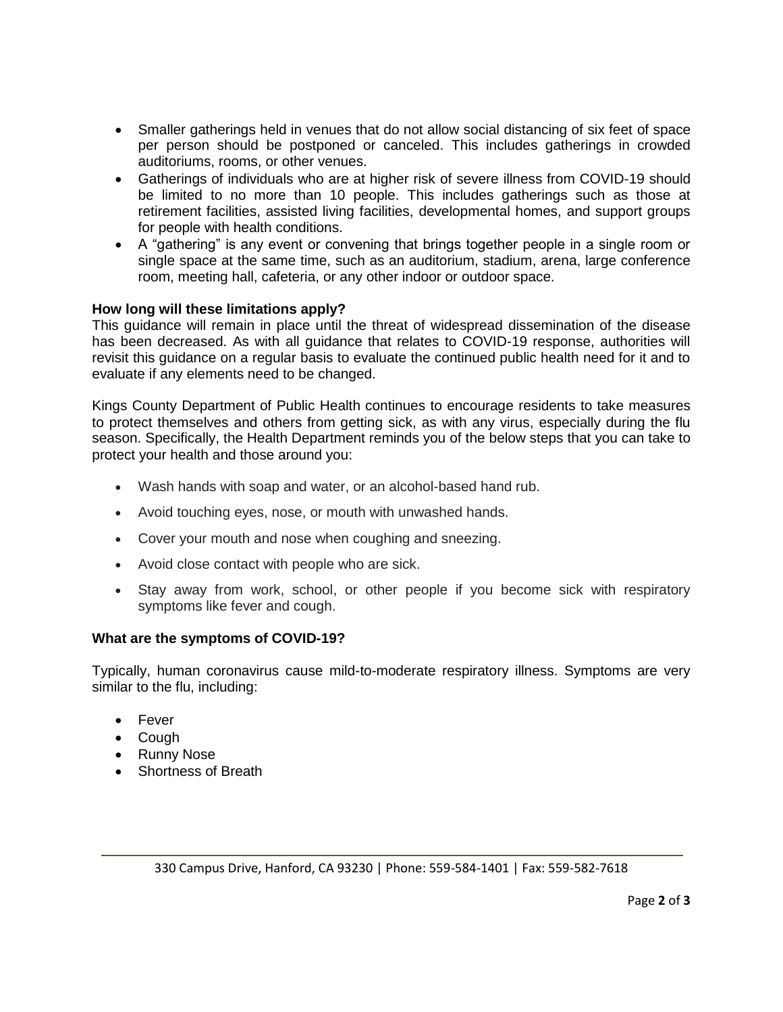- Smaller gatherings held in venues that do not allow social distancing of six feet of space per person should be postponed or canceled. This includes gatherings in crowded auditoriums, rooms, or other venues.
- Gatherings of individuals who are at higher risk of severe illness from COVID-19 should be limited to no more than 10 people. This includes gatherings such as those at retirement facilities, assisted living facilities, developmental homes, and support groups for people with health conditions.
- A "gathering" is any event or convening that brings together people in a single room or single space at the same time, such as an auditorium, stadium, arena, large conference room, meeting hall, cafeteria, or any other indoor or outdoor space.

# **How long will these limitations apply?**

This guidance will remain in place until the threat of widespread dissemination of the disease has been decreased. As with all guidance that relates to COVID-19 response, authorities will revisit this guidance on a regular basis to evaluate the continued public health need for it and to evaluate if any elements need to be changed.

Kings County Department of Public Health continues to encourage residents to take measures to protect themselves and others from getting sick, as with any virus, especially during the flu season. Specifically, the Health Department reminds you of the below steps that you can take to protect your health and those around you:

- Wash hands with soap and water, or an alcohol-based hand rub.
- Avoid touching eyes, nose, or mouth with unwashed hands.
- Cover your mouth and nose when coughing and sneezing.
- Avoid close contact with people who are sick.
- Stay away from work, school, or other people if you become sick with respiratory symptoms like fever and cough.

# **What are the symptoms of COVID-19?**

Typically, human coronavirus cause mild-to-moderate respiratory illness. Symptoms are very similar to the flu, including:

- Fever
- Cough
- Runny Nose
- Shortness of Breath